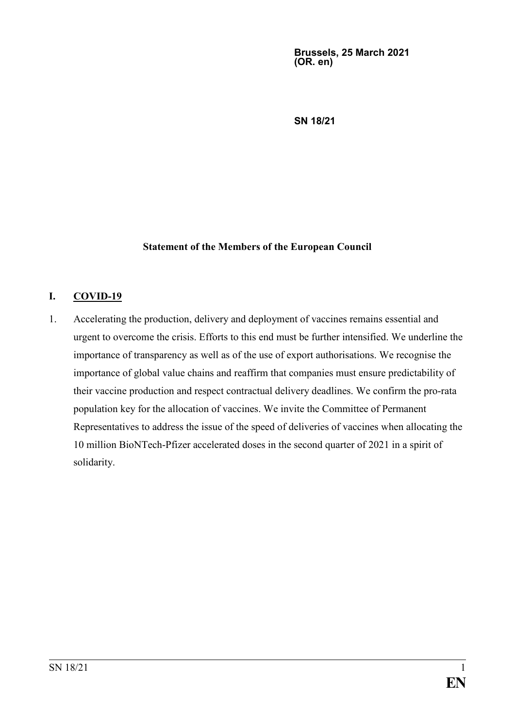**Brussels, 25 March 2021 (OR. en)**

**SN 18/21**

### **Statement of the Members of the European Council**

### **I. COVID-19**

1. Accelerating the production, delivery and deployment of vaccines remains essential and urgent to overcome the crisis. Efforts to this end must be further intensified. We underline the importance of transparency as well as of the use of export authorisations. We recognise the importance of global value chains and reaffirm that companies must ensure predictability of their vaccine production and respect contractual delivery deadlines. We confirm the pro-rata population key for the allocation of vaccines. We invite the Committee of Permanent Representatives to address the issue of the speed of deliveries of vaccines when allocating the 10 million BioNTech-Pfizer accelerated doses in the second quarter of 2021 in a spirit of solidarity.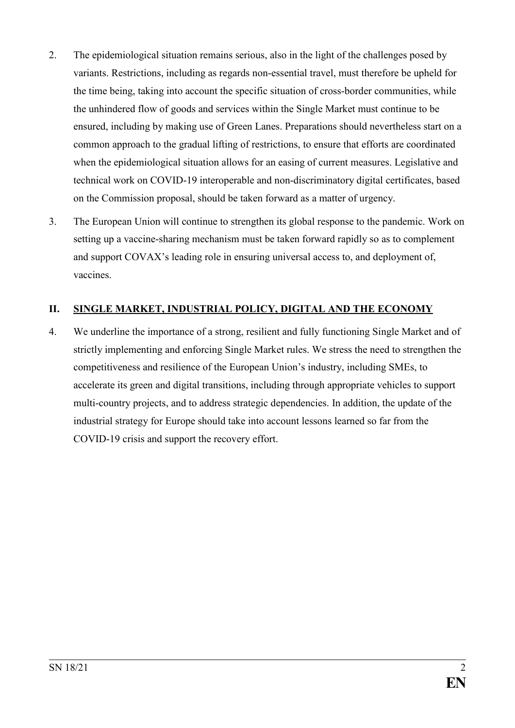- 2. The epidemiological situation remains serious, also in the light of the challenges posed by variants. Restrictions, including as regards non-essential travel, must therefore be upheld for the time being, taking into account the specific situation of cross-border communities, while the unhindered flow of goods and services within the Single Market must continue to be ensured, including by making use of Green Lanes. Preparations should nevertheless start on a common approach to the gradual lifting of restrictions, to ensure that efforts are coordinated when the epidemiological situation allows for an easing of current measures. Legislative and technical work on COVID-19 interoperable and non-discriminatory digital certificates, based on the Commission proposal, should be taken forward as a matter of urgency.
- 3. The European Union will continue to strengthen its global response to the pandemic. Work on setting up a vaccine-sharing mechanism must be taken forward rapidly so as to complement and support COVAX's leading role in ensuring universal access to, and deployment of, vaccines.

## **II. SINGLE MARKET, INDUSTRIAL POLICY, DIGITAL AND THE ECONOMY**

4. We underline the importance of a strong, resilient and fully functioning Single Market and of strictly implementing and enforcing Single Market rules. We stress the need to strengthen the competitiveness and resilience of the European Union's industry, including SMEs, to accelerate its green and digital transitions, including through appropriate vehicles to support multi-country projects, and to address strategic dependencies. In addition, the update of the industrial strategy for Europe should take into account lessons learned so far from the COVID-19 crisis and support the recovery effort.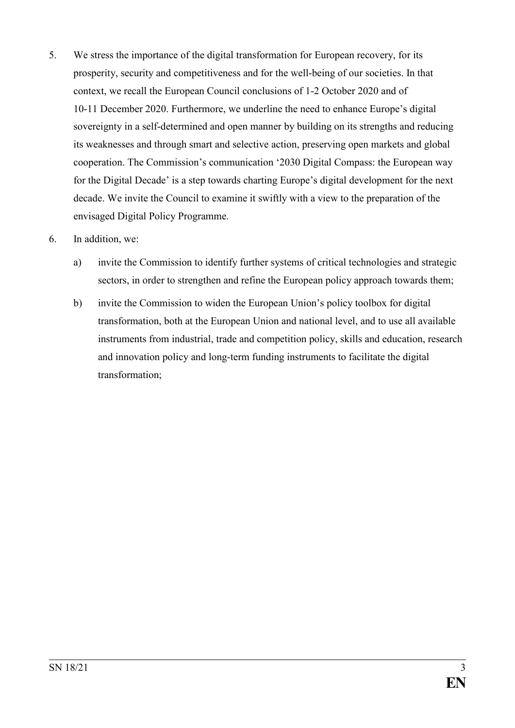- 5. We stress the importance of the digital transformation for European recovery, for its prosperity, security and competitiveness and for the well-being of our societies. In that context, we recall the European Council conclusions of 1-2 October 2020 and of 10-11 December 2020. Furthermore, we underline the need to enhance Europe's digital sovereignty in a self-determined and open manner by building on its strengths and reducing its weaknesses and through smart and selective action, preserving open markets and global cooperation. The Commission's communication '2030 Digital Compass: the European way for the Digital Decade' is a step towards charting Europe's digital development for the next decade. We invite the Council to examine it swiftly with a view to the preparation of the envisaged Digital Policy Programme.
- 6. In addition, we:
	- a) invite the Commission to identify further systems of critical technologies and strategic sectors, in order to strengthen and refine the European policy approach towards them;
	- b) invite the Commission to widen the European Union's policy toolbox for digital transformation, both at the European Union and national level, and to use all available instruments from industrial, trade and competition policy, skills and education, research and innovation policy and long-term funding instruments to facilitate the digital transformation;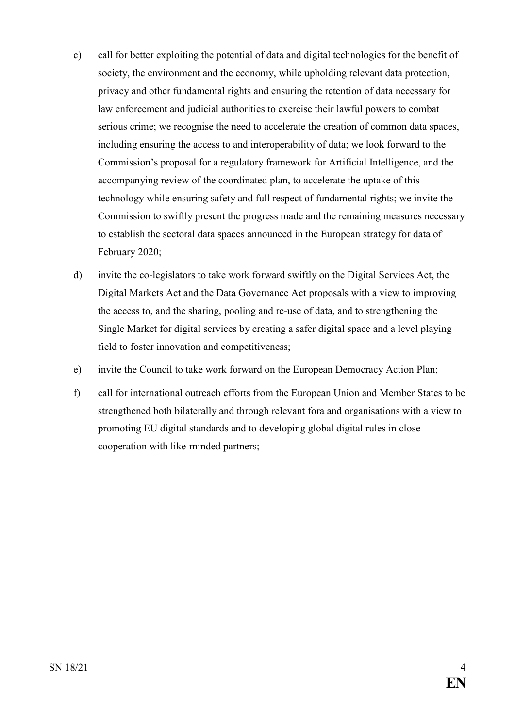- c) call for better exploiting the potential of data and digital technologies for the benefit of society, the environment and the economy, while upholding relevant data protection, privacy and other fundamental rights and ensuring the retention of data necessary for law enforcement and judicial authorities to exercise their lawful powers to combat serious crime; we recognise the need to accelerate the creation of common data spaces, including ensuring the access to and interoperability of data; we look forward to the Commission's proposal for a regulatory framework for Artificial Intelligence, and the accompanying review of the coordinated plan, to accelerate the uptake of this technology while ensuring safety and full respect of fundamental rights; we invite the Commission to swiftly present the progress made and the remaining measures necessary to establish the sectoral data spaces announced in the European strategy for data of February 2020;
- d) invite the co-legislators to take work forward swiftly on the Digital Services Act, the Digital Markets Act and the Data Governance Act proposals with a view to improving the access to, and the sharing, pooling and re-use of data, and to strengthening the Single Market for digital services by creating a safer digital space and a level playing field to foster innovation and competitiveness;
- e) invite the Council to take work forward on the European Democracy Action Plan;
- f) call for international outreach efforts from the European Union and Member States to be strengthened both bilaterally and through relevant fora and organisations with a view to promoting EU digital standards and to developing global digital rules in close cooperation with like-minded partners;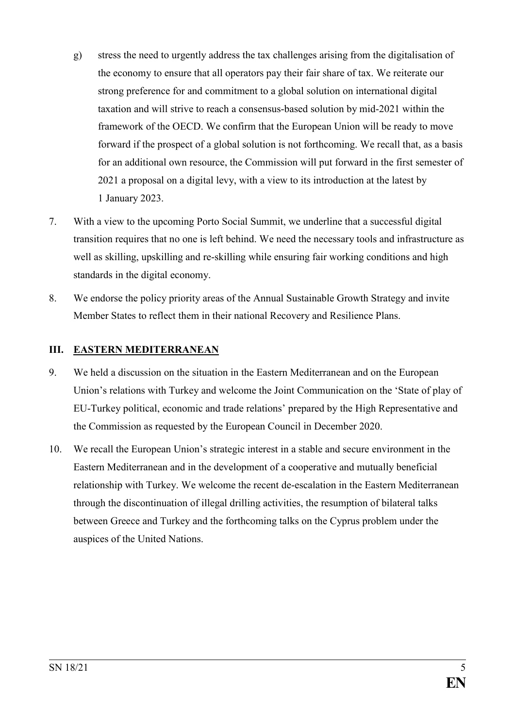- g) stress the need to urgently address the tax challenges arising from the digitalisation of the economy to ensure that all operators pay their fair share of tax. We reiterate our strong preference for and commitment to a global solution on international digital taxation and will strive to reach a consensus-based solution by mid-2021 within the framework of the OECD. We confirm that the European Union will be ready to move forward if the prospect of a global solution is not forthcoming. We recall that, as a basis for an additional own resource, the Commission will put forward in the first semester of 2021 a proposal on a digital levy, with a view to its introduction at the latest by 1 January 2023.
- 7. With a view to the upcoming Porto Social Summit, we underline that a successful digital transition requires that no one is left behind. We need the necessary tools and infrastructure as well as skilling, upskilling and re-skilling while ensuring fair working conditions and high standards in the digital economy.
- 8. We endorse the policy priority areas of the Annual Sustainable Growth Strategy and invite Member States to reflect them in their national Recovery and Resilience Plans.

## **III. EASTERN MEDITERRANEAN**

- 9. We held a discussion on the situation in the Eastern Mediterranean and on the European Union's relations with Turkey and welcome the Joint Communication on the 'State of play of EU-Turkey political, economic and trade relations' prepared by the High Representative and the Commission as requested by the European Council in December 2020.
- 10. We recall the European Union's strategic interest in a stable and secure environment in the Eastern Mediterranean and in the development of a cooperative and mutually beneficial relationship with Turkey. We welcome the recent de-escalation in the Eastern Mediterranean through the discontinuation of illegal drilling activities, the resumption of bilateral talks between Greece and Turkey and the forthcoming talks on the Cyprus problem under the auspices of the United Nations.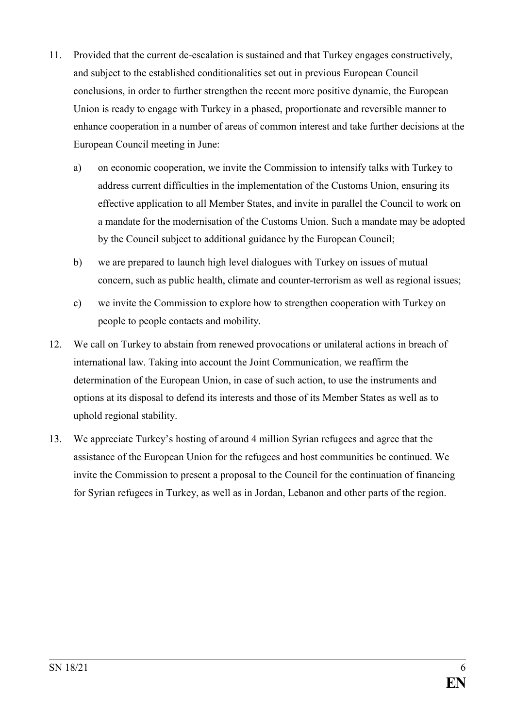- 11. Provided that the current de-escalation is sustained and that Turkey engages constructively, and subject to the established conditionalities set out in previous European Council conclusions, in order to further strengthen the recent more positive dynamic, the European Union is ready to engage with Turkey in a phased, proportionate and reversible manner to enhance cooperation in a number of areas of common interest and take further decisions at the European Council meeting in June:
	- a) on economic cooperation, we invite the Commission to intensify talks with Turkey to address current difficulties in the implementation of the Customs Union, ensuring its effective application to all Member States, and invite in parallel the Council to work on a mandate for the modernisation of the Customs Union. Such a mandate may be adopted by the Council subject to additional guidance by the European Council;
	- b) we are prepared to launch high level dialogues with Turkey on issues of mutual concern, such as public health, climate and counter-terrorism as well as regional issues;
	- c) we invite the Commission to explore how to strengthen cooperation with Turkey on people to people contacts and mobility.
- 12. We call on Turkey to abstain from renewed provocations or unilateral actions in breach of international law. Taking into account the Joint Communication, we reaffirm the determination of the European Union, in case of such action, to use the instruments and options at its disposal to defend its interests and those of its Member States as well as to uphold regional stability.
- 13. We appreciate Turkey's hosting of around 4 million Syrian refugees and agree that the assistance of the European Union for the refugees and host communities be continued. We invite the Commission to present a proposal to the Council for the continuation of financing for Syrian refugees in Turkey, as well as in Jordan, Lebanon and other parts of the region.